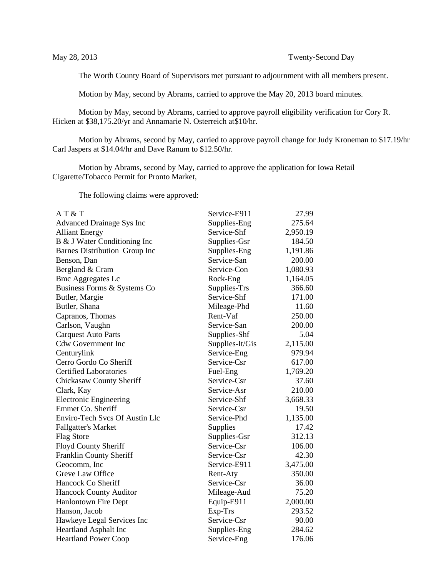The Worth County Board of Supervisors met pursuant to adjournment with all members present.

Motion by May, second by Abrams, carried to approve the May 20, 2013 board minutes.

Motion by May, second by Abrams, carried to approve payroll eligibility verification for Cory R. Hicken at \$38,175.20/yr and Annamarie N. Osterreich at\$10/hr.

Motion by Abrams, second by May, carried to approve payroll change for Judy Kroneman to \$17.19/hr Carl Jaspers at \$14.04/hr and Dave Ranum to \$12.50/hr.

Motion by Abrams, second by May, carried to approve the application for Iowa Retail Cigarette/Tobacco Permit for Pronto Market,

The following claims were approved:

| AT & T                           | Service-E911    | 27.99    |
|----------------------------------|-----------------|----------|
| <b>Advanced Drainage Sys Inc</b> | Supplies-Eng    | 275.64   |
| <b>Alliant Energy</b>            | Service-Shf     | 2,950.19 |
| B & J Water Conditioning Inc     | Supplies-Gsr    | 184.50   |
| Barnes Distribution Group Inc    | Supplies-Eng    | 1,191.86 |
| Benson, Dan                      | Service-San     | 200.00   |
| Bergland & Cram                  | Service-Con     | 1,080.93 |
| <b>Bmc Aggregates Lc</b>         | Rock-Eng        | 1,164.05 |
| Business Forms & Systems Co      | Supplies-Trs    | 366.60   |
| Butler, Margie                   | Service-Shf     | 171.00   |
| Butler, Shana                    | Mileage-Phd     | 11.60    |
| Capranos, Thomas                 | Rent-Vaf        | 250.00   |
| Carlson, Vaughn                  | Service-San     | 200.00   |
| <b>Carquest Auto Parts</b>       | Supplies-Shf    | 5.04     |
| <b>Cdw Government Inc</b>        | Supplies-It/Gis | 2,115.00 |
| Centurylink                      | Service-Eng     | 979.94   |
| Cerro Gordo Co Sheriff           | Service-Csr     | 617.00   |
| <b>Certified Laboratories</b>    | Fuel-Eng        | 1,769.20 |
| Chickasaw County Sheriff         | Service-Csr     | 37.60    |
| Clark, Kay                       | Service-Asr     | 210.00   |
| <b>Electronic Engineering</b>    | Service-Shf     | 3,668.33 |
| Emmet Co. Sheriff                | Service-Csr     | 19.50    |
| Enviro-Tech Svcs Of Austin Llc   | Service-Phd     | 1,135.00 |
| <b>Fallgatter's Market</b>       | Supplies        | 17.42    |
| <b>Flag Store</b>                | Supplies-Gsr    | 312.13   |
| Floyd County Sheriff             | Service-Csr     | 106.00   |
| <b>Franklin County Sheriff</b>   | Service-Csr     | 42.30    |
| Geocomm, Inc                     | Service-E911    | 3,475.00 |
| Greve Law Office                 | Rent-Aty        | 350.00   |
| Hancock Co Sheriff               | Service-Csr     | 36.00    |
| <b>Hancock County Auditor</b>    | Mileage-Aud     | 75.20    |
| <b>Hanlontown Fire Dept</b>      | Equip-E911      | 2,000.00 |
| Hanson, Jacob                    | Exp-Trs         | 293.52   |
| Hawkeye Legal Services Inc       | Service-Csr     | 90.00    |
| Heartland Asphalt Inc            | Supplies-Eng    | 284.62   |
| <b>Heartland Power Coop</b>      | Service-Eng     | 176.06   |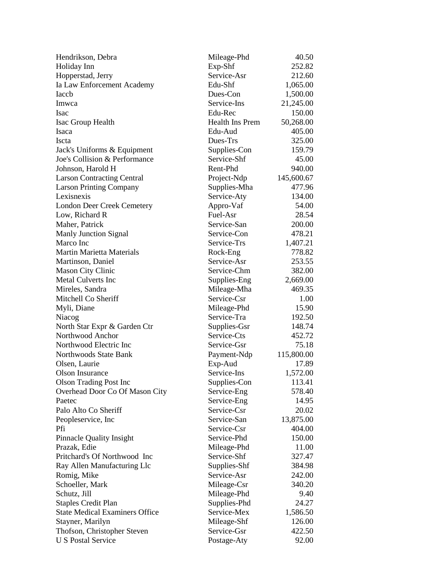| Hendrikson, Debra                                | Mileage-Phd                 | 40.50            |
|--------------------------------------------------|-----------------------------|------------------|
| Holiday Inn                                      | Exp-Shf                     | 252.82           |
| Hopperstad, Jerry                                | Service-Asr                 | 212.60           |
| Ia Law Enforcement Academy                       | Edu-Shf                     | 1,065.00         |
| Iaccb                                            | Dues-Con                    | 1,500.00         |
| Imwca                                            | Service-Ins                 | 21,245.00        |
| Isac                                             | Edu-Rec                     | 150.00           |
| Isac Group Health                                | Health Ins Prem             | 50,268.00        |
| Isaca                                            | Edu-Aud                     | 405.00           |
| <b>Iscta</b>                                     | Dues-Trs                    | 325.00           |
| Jack's Uniforms & Equipment                      | Supplies-Con                | 159.79           |
| Joe's Collision & Performance                    | Service-Shf                 | 45.00            |
| Johnson, Harold H                                | Rent-Phd                    | 940.00           |
| <b>Larson Contracting Central</b>                | Project-Ndp                 | 145,600.67       |
| <b>Larson Printing Company</b>                   | Supplies-Mha                | 477.96           |
| Lexisnexis                                       | Service-Aty                 | 134.00           |
| <b>London Deer Creek Cemetery</b>                | Appro-Vaf                   | 54.00            |
| Low, Richard R                                   | Fuel-Asr                    | 28.54            |
| Maher, Patrick                                   | Service-San                 | 200.00           |
| Manly Junction Signal                            | Service-Con                 | 478.21           |
| Marco Inc                                        | Service-Trs                 | 1,407.21         |
| <b>Martin Marietta Materials</b>                 | Rock-Eng                    | 778.82           |
| Martinson, Daniel                                | Service-Asr                 | 253.55           |
| <b>Mason City Clinic</b>                         | Service-Chm                 | 382.00           |
| <b>Metal Culverts Inc</b>                        | Supplies-Eng                | 2,669.00         |
| Mireles, Sandra                                  | Mileage-Mha                 | 469.35           |
| Mitchell Co Sheriff                              | Service-Csr                 | 1.00             |
|                                                  |                             |                  |
| Myli, Diane                                      | Mileage-Phd<br>Service-Tra  | 15.90<br>192.50  |
| Niacog                                           |                             |                  |
| North Star Expr & Garden Ctr<br>Northwood Anchor | Supplies-Gsr<br>Service-Cts | 148.74<br>452.72 |
|                                                  |                             |                  |
| Northwood Electric Inc                           | Service-Gsr                 | 75.18            |
| Northwoods State Bank                            | Payment-Ndp                 | 115,800.00       |
| Olsen, Laurie                                    | Exp-Aud                     | 17.89            |
| Olson Insurance                                  | Service-Ins                 | 1,572.00         |
| <b>Olson Trading Post Inc</b>                    | Supplies-Con                | 113.41           |
| Overhead Door Co Of Mason City                   | Service-Eng                 | 578.40           |
| Paetec                                           | Service-Eng                 | 14.95            |
| Palo Alto Co Sheriff                             | Service-Csr                 | 20.02            |
| Peopleservice, Inc                               | Service-San                 | 13,875.00        |
| Pfi                                              | Service-Csr                 | 404.00           |
| <b>Pinnacle Quality Insight</b>                  | Service-Phd                 | 150.00           |
| Prazak, Edie                                     | Mileage-Phd                 | 11.00            |
| Pritchard's Of Northwood Inc                     | Service-Shf                 | 327.47           |
| Ray Allen Manufacturing Llc                      | Supplies-Shf                | 384.98           |
| Romig, Mike                                      | Service-Asr                 | 242.00           |
| Schoeller, Mark                                  | Mileage-Csr                 | 340.20           |
| Schutz, Jill                                     | Mileage-Phd                 | 9.40             |
| <b>Staples Credit Plan</b>                       | Supplies-Phd                | 24.27            |
| <b>State Medical Examiners Office</b>            | Service-Mex                 | 1,586.50         |
| Stayner, Marilyn                                 | Mileage-Shf                 | 126.00           |
| Thofson, Christopher Steven                      | Service-Gsr                 | 422.50           |
| <b>U S Postal Service</b>                        | Postage-Aty                 | 92.00            |